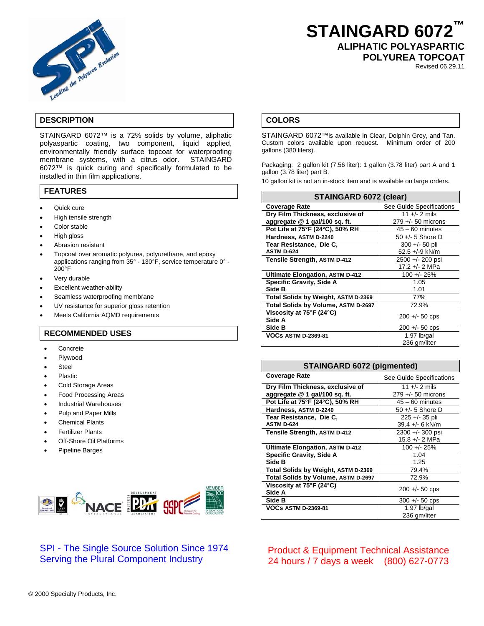

# **STAINGARD 6072™ ALIPHATIC POLYASPARTIC POLYUREA TOPCOAT**

Revised 06.29.11

## **DESCRIPTION**

STAINGARD 6072™ is a 72% solids by volume, aliphatic polyaspartic coating, two component, liquid applied, environmentally friendly surface topcoat for waterproofing membrane systems, with a citrus odor. STAINGARD 6072™ is quick curing and specifically formulated to be installed in thin film applications.

## **FEATURES**

- Quick cure
- High tensile strength
- Color stable
- High gloss
- Abrasion resistant
- Topcoat over aromatic polyurea, polyurethane, and epoxy applications ranging from 35° - 130°F, service temperature 0° - 200°F
- Very durable
- Excellent weather-ability
- Seamless waterproofing membrane
- UV resistance for superior gloss retention
- Meets California AQMD requirements

#### **RECOMMENDED USES**

- **Concrete**
- Plywood
- **Steel**
- Plastic
- Cold Storage Areas
- Food Processing Areas
- Industrial Warehouses
- Pulp and Paper Mills
- Chemical Plants
- Fertilizer Plants
- **Off-Shore Oil Platforms**
- Pipeline Barges



# SPI - The Single Source Solution Since 1974 Serving the Plural Component Industry

### **COLORS**

STAINGARD 6072™is available in Clear, Dolphin Grey, and Tan. Custom colors available upon request. Minimum order of 200 gallons (380 liters).

Packaging: 2 gallon kit (7.56 liter): 1 gallon (3.78 liter) part A and 1 gallon (3.78 liter) part B.

10 gallon kit is not an in-stock item and is available on large orders.

| <b>STAINGARD 6072 (clear)</b>          |                               |
|----------------------------------------|-------------------------------|
| <b>Coverage Rate</b>                   | See Guide Specifications      |
| Dry Film Thickness, exclusive of       | 11 +/- 2 mils                 |
| aggregate $@1$ gal/100 sq. ft.         | $279 + - 50$ microns          |
| Pot Life at 75°F (24°C), 50% RH        | $45 - 60$ minutes             |
| Hardness, ASTM D-2240                  | $50 +/- 5$ Shore D            |
| Tear Resistance, Die C.                | $300 +/- 50$ pli              |
| <b>ASTM D-624</b>                      | 52.5 +/-9 kN/m                |
| Tensile Strength, ASTM D-412           | 2500 +/- 200 psi              |
|                                        | 17.2 +/- 2 MPa                |
| <b>Ultimate Elongation, ASTM D-412</b> | 100 +/- 25%                   |
| <b>Specific Gravity, Side A</b>        | 1.05                          |
| Side B                                 | 1.01                          |
| Total Solids by Weight, ASTM D-2369    | 77%                           |
| Total Solids by Volume, ASTM D-2697    | 72.9%                         |
| Viscosity at 75°F (24°C)<br>Side A     | $200 + 50$ cps                |
| Side B                                 | $200 + -50$ cps               |
| <b>VOCs ASTM D-2369-81</b>             | 1.97 $lb/gal$<br>236 gm/liter |

#### **STAINGARD 6072 (pigmented)**

| <b>Coverage Rate</b>                   | See Guide Specifications |
|----------------------------------------|--------------------------|
| Dry Film Thickness, exclusive of       | 11 +/- 2 mils            |
| aggregate $@1$ gal/100 sq. ft.         | $279 + - 50$ microns     |
| Pot Life at 75°F (24°C), 50% RH        | $45 - 60$ minutes        |
| Hardness, ASTM D-2240                  | $50 +/- 5$ Shore D       |
| Tear Resistance, Die C.                | $225 + 35$ pli           |
| <b>ASTM D-624</b>                      | $39.4 +/- 6$ kN/m        |
| Tensile Strength, ASTM D-412           | 2300 +/- 300 psi         |
|                                        | 15.8 +/- 2 MPa           |
| <b>Ultimate Elongation, ASTM D-412</b> | $100 + 25%$              |
| <b>Specific Gravity, Side A</b>        | 1.04                     |
| Side B                                 | 1.25                     |
| Total Solids by Weight, ASTM D-2369    | 79.4%                    |
| Total Solids by Volume, ASTM D-2697    | 72.9%                    |
| Viscosity at 75°F (24°C)               | $200 + 50$ cps           |
| Side A                                 |                          |
| Side B                                 | $300 + -50$ cps          |
| <b>VOCs ASTM D-2369-81</b>             | 1.97 $lb/gal$            |
|                                        | 236 gm/liter             |

Product & Equipment Technical Assistance 24 hours / 7 days a week (800) 627-0773